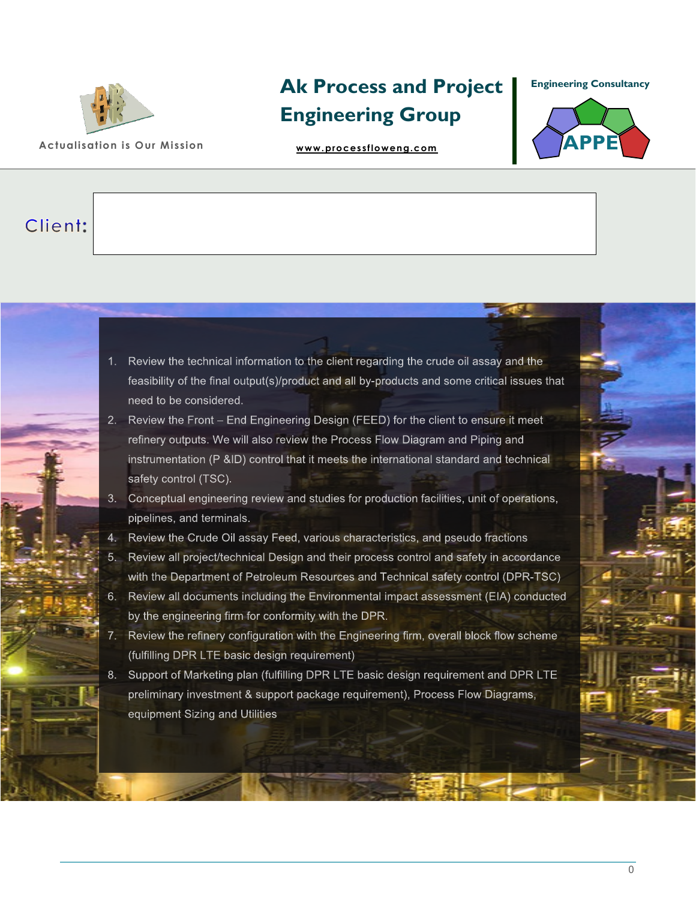

**[Ak Process and Project](https://www.akprocessandprojectengineering.com)  Engineering Group** 

**Actualisation is Our Mission [www.processfloweng.com](file:///C:/Users/akina/OneDrive/Desktop/Akin%20CV%20and%20Documents/Consultancy%20Folder/www.processfloweng.com)**

**Engineering Consultancy**



## Client:

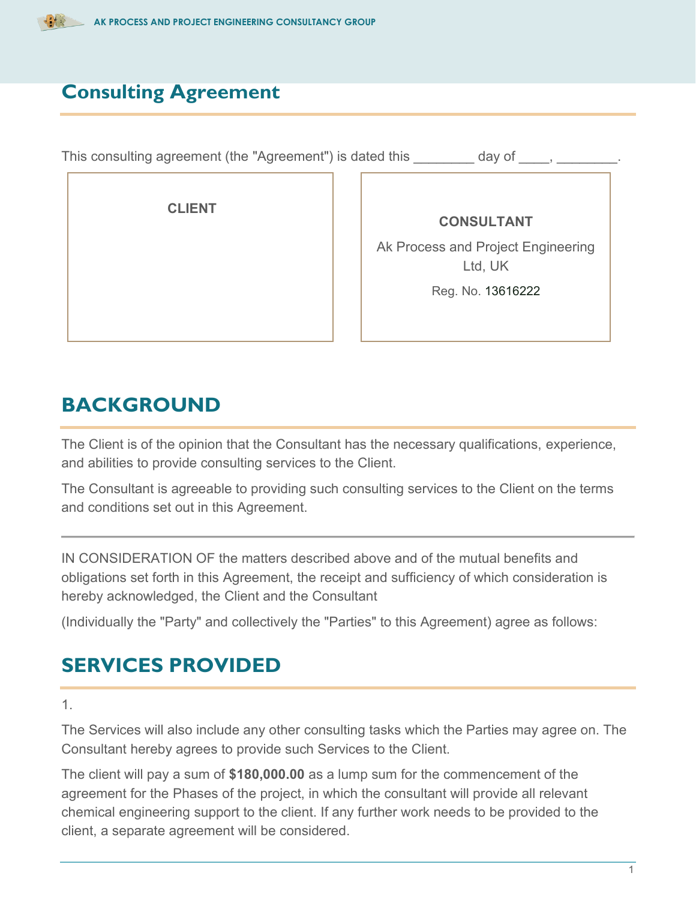

#### **Consulting Agreement**

This consulting agreement (the "Agreement") is dated this day of  $\qquad, \qquad$  **CLIENT CONSULTANT** Ak Process and Project Engineering Ltd, UK Reg. No. 13616222

#### **BACKGROUND**

The Client is of the opinion that the Consultant has the necessary qualifications, experience, and abilities to provide consulting services to the Client.

The Consultant is agreeable to providing such consulting services to the Client on the terms and conditions set out in this Agreement.

IN CONSIDERATION OF the matters described above and of the mutual benefits and obligations set forth in this Agreement, the receipt and sufficiency of which consideration is hereby acknowledged, the Client and the Consultant

(Individually the "Party" and collectively the "Parties" to this Agreement) agree as follows:

## **SERVICES PROVIDED**

1.

The Services will also include any other consulting tasks which the Parties may agree on. The Consultant hereby agrees to provide such Services to the Client.

The client will pay a sum of **\$180,000.00** as a lump sum for the commencement of the agreement for the Phases of the project, in which the consultant will provide all relevant chemical engineering support to the client. If any further work needs to be provided to the client, a separate agreement will be considered.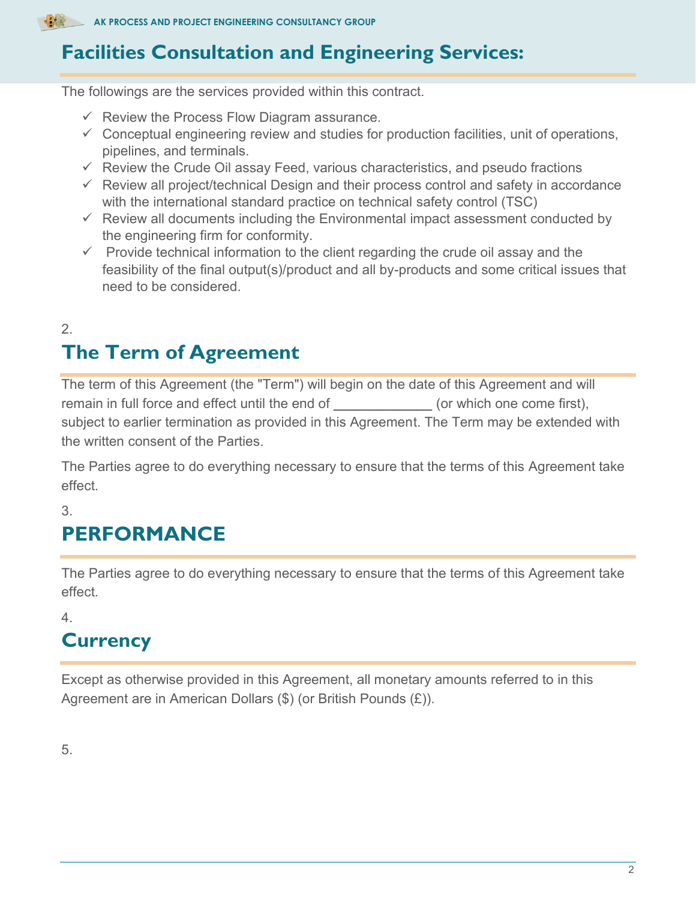# **Facilities Consultation and Engineering Services:**

The followings are the services provided within this contract.

- $\checkmark$  Review the Process Flow Diagram assurance.
- $\checkmark$  Conceptual engineering review and studies for production facilities, unit of operations, pipelines, and terminals.
- $\checkmark$  Review the Crude Oil assay Feed, various characteristics, and pseudo fractions
- $\checkmark$  Review all project/technical Design and their process control and safety in accordance with the international standard practice on technical safety control (TSC)
- $\checkmark$  Review all documents including the Environmental impact assessment conducted by the engineering firm for conformity.
- $\checkmark$  Provide technical information to the client regarding the crude oil assay and the feasibility of the final output(s)/product and all by-products and some critical issues that need to be considered.

#### 2. **The Term of Agreement**

The term of this Agreement (the "Term") will begin on the date of this Agreement and will remain in full force and effect until the end of **\_\_\_\_\_\_\_\_\_\_\_\_\_** (or which one come first), subject to earlier termination as provided in this Agreement. The Term may be extended with the written consent of the Parties.

The Parties agree to do everything necessary to ensure that the terms of this Agreement take effect.

3.

# **PERFORMANCE**

The Parties agree to do everything necessary to ensure that the terms of this Agreement take effect.

4.

# **Currency**

Except as otherwise provided in this Agreement, all monetary amounts referred to in this Agreement are in American Dollars (\$) (or British Pounds (£)).

5.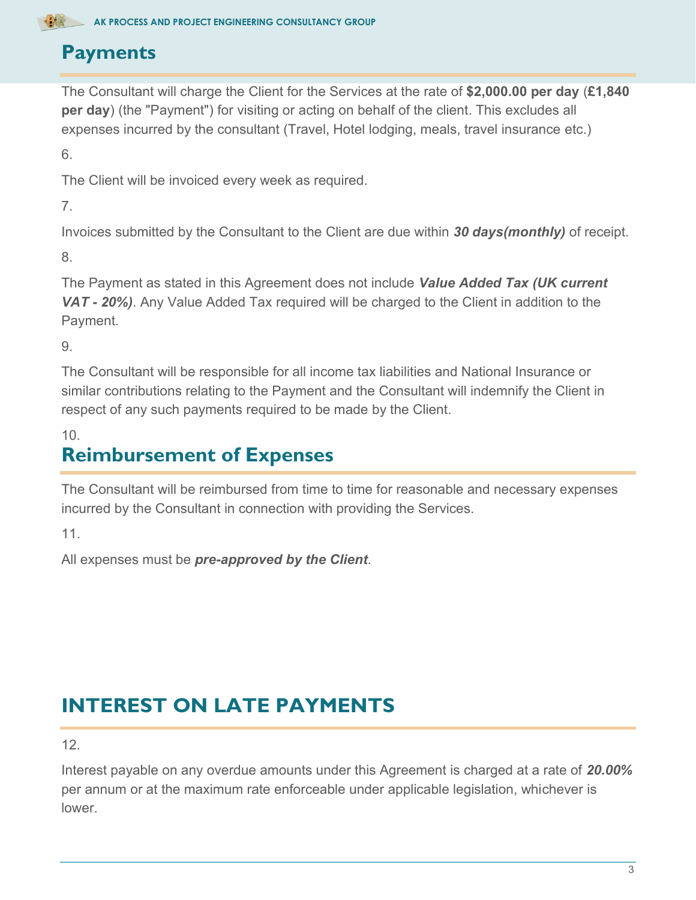## **Payments**

The Consultant will charge the Client for the Services at the rate of **\$2,000.00 per day** (**£1,840 per day**) (the "Payment") for visiting or acting on behalf of the client. This excludes all expenses incurred by the consultant (Travel, Hotel lodging, meals, travel insurance etc.)

6.

The Client will be invoiced every week as required.

7.

Invoices submitted by the Consultant to the Client are due within *30 days(monthly)* of receipt.

8.

The Payment as stated in this Agreement does not include *Value Added Tax (UK current VAT - 20%)*. Any Value Added Tax required will be charged to the Client in addition to the Payment.

9.

The Consultant will be responsible for all income tax liabilities and National Insurance or similar contributions relating to the Payment and the Consultant will indemnify the Client in respect of any such payments required to be made by the Client.

10.

## **Reimbursement of Expenses**

The Consultant will be reimbursed from time to time for reasonable and necessary expenses incurred by the Consultant in connection with providing the Services.

11.

All expenses must be *pre-approved by the Client*.

# **INTEREST ON LATE PAYMENTS**

12.

Interest payable on any overdue amounts under this Agreement is charged at a rate of *20.00%* per annum or at the maximum rate enforceable under applicable legislation, whichever is lower.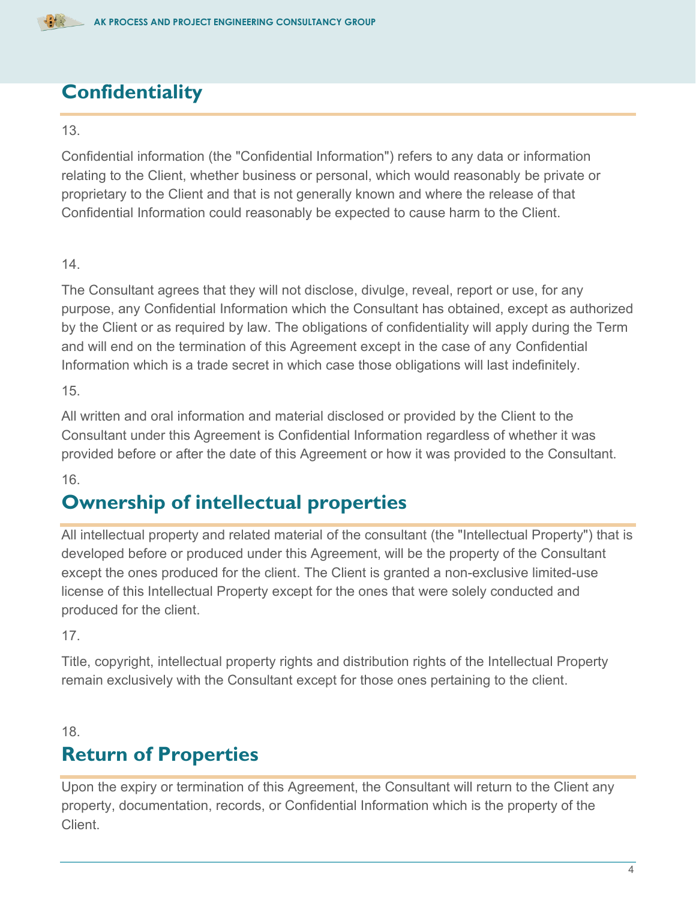

## **Confidentiality**

#### 13.

Confidential information (the "Confidential Information") refers to any data or information relating to the Client, whether business or personal, which would reasonably be private or proprietary to the Client and that is not generally known and where the release of that Confidential Information could reasonably be expected to cause harm to the Client.

#### 14.

The Consultant agrees that they will not disclose, divulge, reveal, report or use, for any purpose, any Confidential Information which the Consultant has obtained, except as authorized by the Client or as required by law. The obligations of confidentiality will apply during the Term and will end on the termination of this Agreement except in the case of any Confidential Information which is a trade secret in which case those obligations will last indefinitely.

15.

All written and oral information and material disclosed or provided by the Client to the Consultant under this Agreement is Confidential Information regardless of whether it was provided before or after the date of this Agreement or how it was provided to the Consultant.

16.

#### **Ownership of intellectual properties**

All intellectual property and related material of the consultant (the "Intellectual Property") that is developed before or produced under this Agreement, will be the property of the Consultant except the ones produced for the client. The Client is granted a non-exclusive limited-use license of this Intellectual Property except for the ones that were solely conducted and produced for the client.

17.

Title, copyright, intellectual property rights and distribution rights of the Intellectual Property remain exclusively with the Consultant except for those ones pertaining to the client.

18.

## **Return of Properties**

Upon the expiry or termination of this Agreement, the Consultant will return to the Client any property, documentation, records, or Confidential Information which is the property of the Client.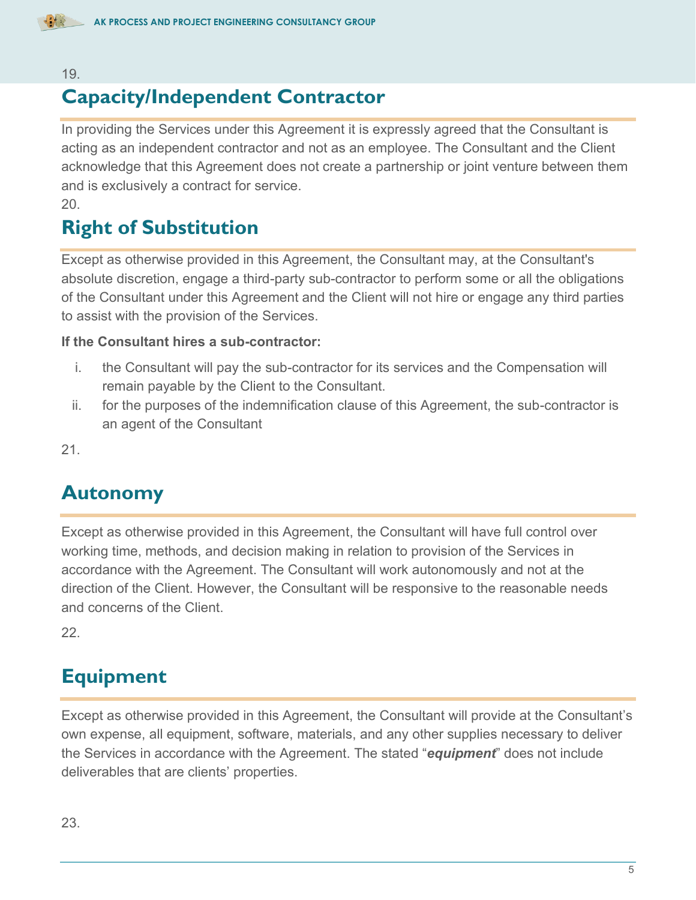

#### 19.

#### **Capacity/Independent Contractor**

In providing the Services under this Agreement it is expressly agreed that the Consultant is acting as an independent contractor and not as an employee. The Consultant and the Client acknowledge that this Agreement does not create a partnership or joint venture between them and is exclusively a contract for service.

20.

## **Right of Substitution**

Except as otherwise provided in this Agreement, the Consultant may, at the Consultant's absolute discretion, engage a third-party sub-contractor to perform some or all the obligations of the Consultant under this Agreement and the Client will not hire or engage any third parties to assist with the provision of the Services.

#### **If the Consultant hires a sub-contractor:**

- i. the Consultant will pay the sub-contractor for its services and the Compensation will remain payable by the Client to the Consultant.
- ii. for the purposes of the indemnification clause of this Agreement, the sub-contractor is an agent of the Consultant

21.

#### **Autonomy**

Except as otherwise provided in this Agreement, the Consultant will have full control over working time, methods, and decision making in relation to provision of the Services in accordance with the Agreement. The Consultant will work autonomously and not at the direction of the Client. However, the Consultant will be responsive to the reasonable needs and concerns of the Client.

22.

#### **Equipment**

Except as otherwise provided in this Agreement, the Consultant will provide at the Consultant's own expense, all equipment, software, materials, and any other supplies necessary to deliver the Services in accordance with the Agreement. The stated "*equipment*" does not include deliverables that are clients' properties.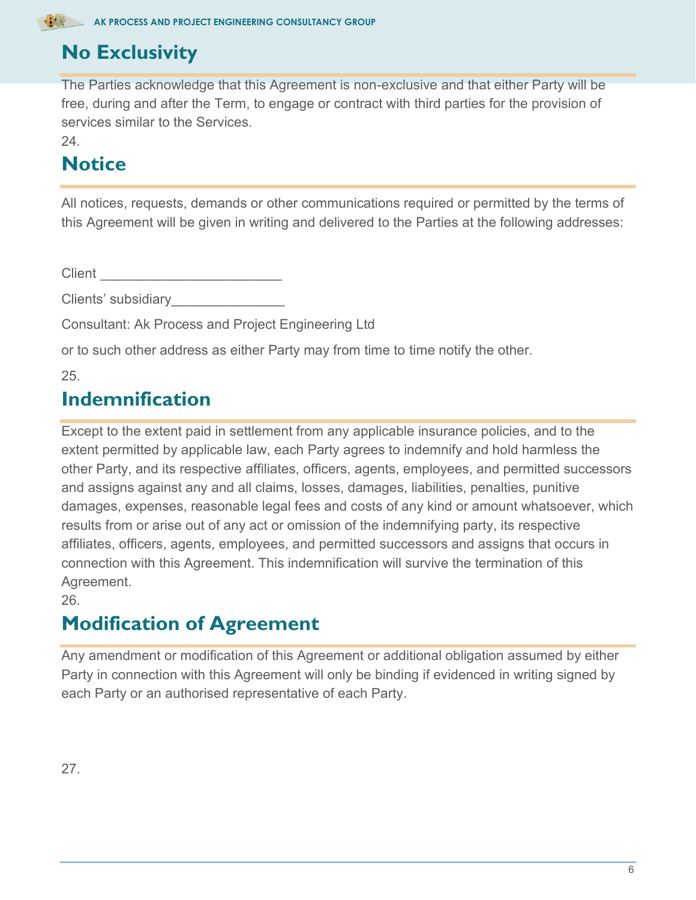# **No Exclusivity**

The Parties acknowledge that this Agreement is non-exclusive and that either Party will be free, during and after the Term, to engage or contract with third parties for the provision of services similar to the Services.

24.

# **Notice**

All notices, requests, demands or other communications required or permitted by the terms of this Agreement will be given in writing and delivered to the Parties at the following addresses:

Client **Client** 

Clients' subsidiary\_\_\_\_\_\_\_\_\_\_\_\_\_\_\_

Consultant: Ak Process and Project Engineering Ltd

or to such other address as either Party may from time to time notify the other.

25.

#### **Indemnification**

Except to the extent paid in settlement from any applicable insurance policies, and to the extent permitted by applicable law, each Party agrees to indemnify and hold harmless the other Party, and its respective affiliates, officers, agents, employees, and permitted successors and assigns against any and all claims, losses, damages, liabilities, penalties, punitive damages, expenses, reasonable legal fees and costs of any kind or amount whatsoever, which results from or arise out of any act or omission of the indemnifying party, its respective affiliates, officers, agents, employees, and permitted successors and assigns that occurs in connection with this Agreement. This indemnification will survive the termination of this Agreement.

26.

# **Modification of Agreement**

Any amendment or modification of this Agreement or additional obligation assumed by either Party in connection with this Agreement will only be binding if evidenced in writing signed by each Party or an authorised representative of each Party.

27.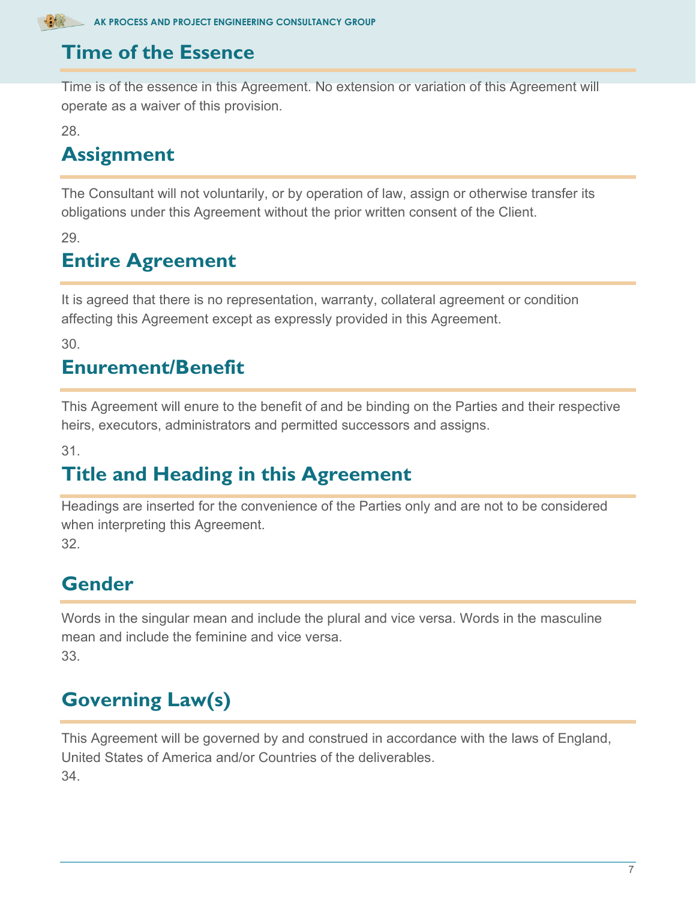

#### **Time of the Essence**

Time is of the essence in this Agreement. No extension or variation of this Agreement will operate as a waiver of this provision.

28.

# **Assignment**

The Consultant will not voluntarily, or by operation of law, assign or otherwise transfer its obligations under this Agreement without the prior written consent of the Client.

29.

# **Entire Agreement**

It is agreed that there is no representation, warranty, collateral agreement or condition affecting this Agreement except as expressly provided in this Agreement.

30.

## **Enurement/Benefit**

This Agreement will enure to the benefit of and be binding on the Parties and their respective heirs, executors, administrators and permitted successors and assigns.

31.

# **Title and Heading in this Agreement**

Headings are inserted for the convenience of the Parties only and are not to be considered when interpreting this Agreement. 32.

**Gender**

Words in the singular mean and include the plural and vice versa. Words in the masculine mean and include the feminine and vice versa. 33.

# **Governing Law(s)**

This Agreement will be governed by and construed in accordance with the laws of England, United States of America and/or Countries of the deliverables. 34.